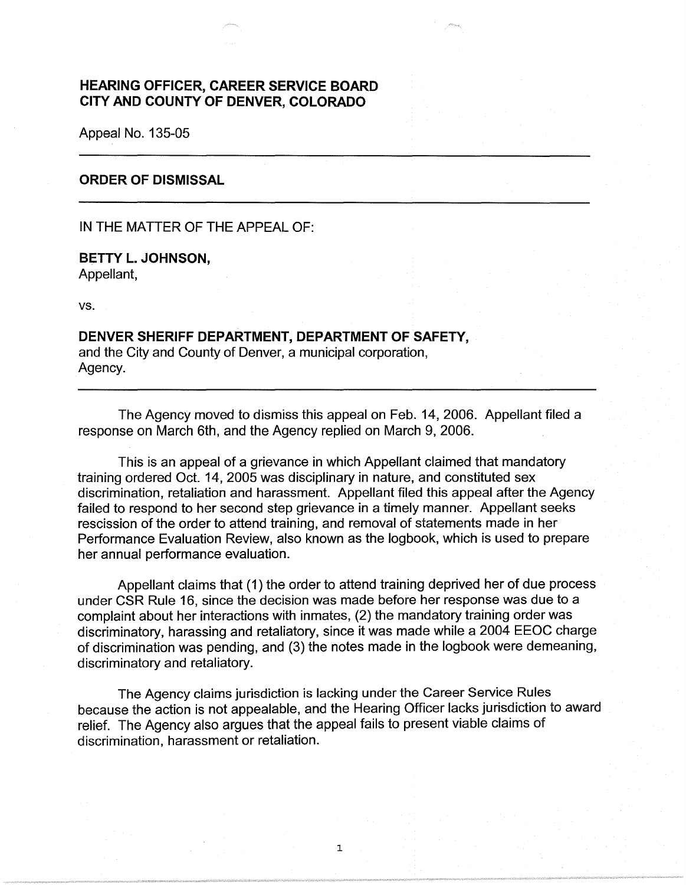## **HEARING OFFICER, CAREER SERVICE BOARD CITY AND COUNTY OF DENVER, COLORADO**

Appeal No. 135-05

#### **ORDER OF DISMISSAL**

IN THE MATTER OF THE APPEAL OF:

## **BETTY L. JOHNSON,**  Appellant,

vs.

# **DENVER SHERIFF DEPARTMENT, DEPARTMENT OF SAFETY,**  and the City and County of Denver, a municipal corporation,

Agency.

The Agency moved to dismiss this appeal on Feb. 14, 2006. Appellant filed a response on March 6th, and the Agency replied on March 9, 2006.

This is an appeal of a grievance in which Appellant claimed that mandatory training ordered Oct. 14, 2005 was disciplinary in nature, and constituted sex discrimination, retaliation and harassment. Appellant filed this appeal after the Agency failed to respond to her second step grievance in a timely manner. Appellant seeks rescission of the order to attend training, and removal of statements made in her Performance Evaluation Review, also known as the logbook, which is used to prepare her annual performance evaluation.

Appellant claims that (1) the order to attend training deprived her of due process under CSR Rule 16, since the decision was made before her response was due to a complaint about her interactions with inmates, (2) the mandatory training order was discriminatory, harassing and retaliatory, since it was made while a 2004 EEOC charge of discrimination was pending, and (3) the notes made in the logbook were demeaning, discriminatory and retaliatory.

The Agency claims jurisdiction is lacking under the Career Service Rules because the action is not appealable, and the Hearing Officer lacks jurisdiction to award relief. The Agency also argues that the appeal fails to present viable claims of discrimination, harassment or retaliation.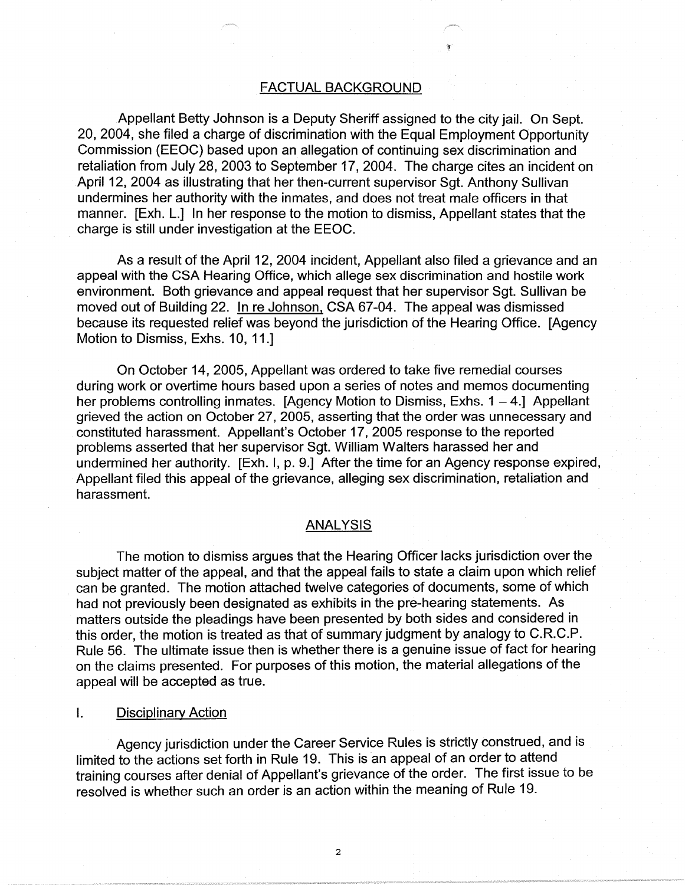#### FACTUAL BACKGROUND

Appellant Betty Johnson is a Deputy Sheriff assigned to the city jail. On Sept. 20, 2004, she filed a charge of discrimination with the Equal Employment Opportunity Commission (EEOC) based upon an allegation of continuing sex discrimination and retaliation from July 28, 2003 to September 17, 2004. The charge cites an incident on April 12, 2004 as illustrating that her then-current supervisor Sgt. Anthony Sullivan undermines her authority with the inmates, and does not treat male officers in that manner. [Exh. L.] In her response to the motion to dismiss, Appellant states that the charge is still under investigation at the EEOC.

As a result of the April 12, 2004 incident, Appellant also filed a grievance and an appeal with the CSA Hearing Office, which allege sex discrimination and hostile work environment. Both grievance and appeal request that her supervisor Sgt. Sullivan be moved out of Building 22. In re Johnson, CSA 67-04. The appeal was dismissed because its requested relief was beyond the jurisdiction of the Hearing Office. [Agency Motion to Dismiss, Exhs. 10, 11.]

On October 14, 2005, Appellant was ordered to take five remedial courses during work or overtime hours based upon a series of notes and memos documenting her problems controlling inmates. [Agency Motion to Dismiss, Exhs.  $1 - 4$ .] Appellant grieved the action on October 27, 2005, asserting that the order was unnecessary and constituted harassment. Appellant's October 17, 2005 response to the reported problems asserted that her supervisor Sgt. William Walters harassed her and undermined her authority. [Exh. I, p. 9.] After the time for an Agency response expired, Appellant filed this appeal of the grievance, alleging sex discrimination, retaliation and harassment.

## ANALYSIS

The motion to dismiss argues that the Hearing Officer lacks jurisdiction over the subject matter of the appeal, and that the appeal fails to state a claim upon which relief can be granted. The motion attached twelve categories of documents, some of which had not previously been designated as exhibits in the pre-hearing statements. As matters outside the pleadings have been presented by both sides and considered in this order, the motion is treated as that of summary judgment by analogy to C.R.C.P. Rule 56. The ultimate issue then is whether there is a genuine issue of fact for hearing on the claims presented. For purposes of this motion, the material allegations of the appeal will be accepted as true.

#### I. Disciplinary Action

Agency jurisdiction under the Career Service Rules is strictly construed, and is limited to the actions set forth in Rule 19. This is an appeal of an order to attend training courses after denial of Appellant's grievance of the order. The first issue to be resolved is whether such an order is an action within the meaning of Rule 19.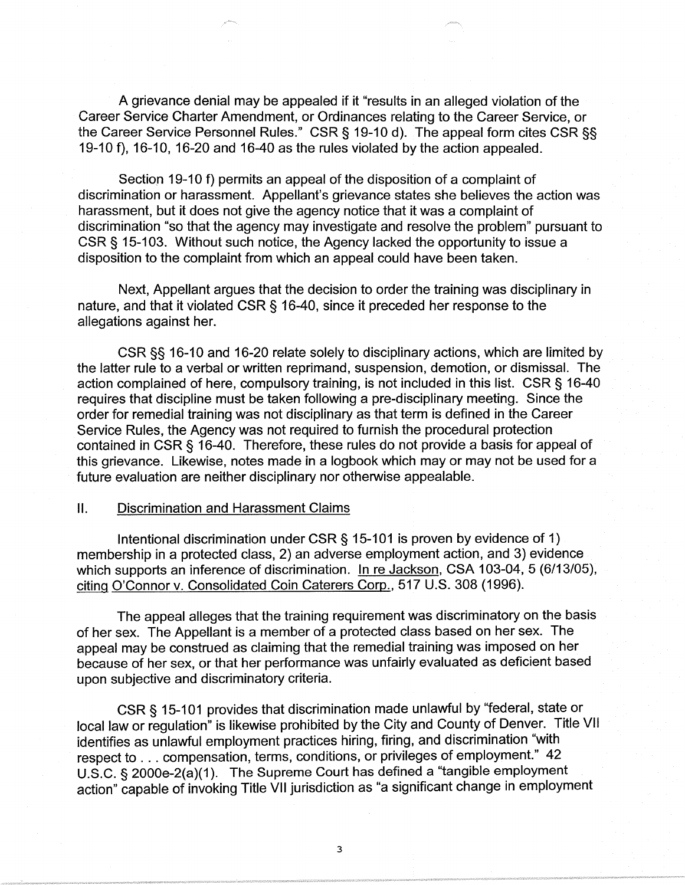A grievance denial may be appealed if it "results in an alleged violation of the Career Service Charter Amendment, or Ordinances relating to the Career Service, or the Career Service Personnel Rules." CSR§ 19-10 d). The appeal form cites CSR§§ 19-10 f), 16-10, 16-20 and 16-40 as the rules violated by the action appealed.

Section 19-10 f) permits an appeal of the disposition of a complaint of discrimination or harassment. Appellant's grievance states she believes the action was harassment, but it does not give the agency notice that it was a complaint of discrimination "so that the agency may investigate and resolve the problem" pursuant to CSR § 15-103. Without such notice, the Agency lacked the opportunity to issue a disposition to the complaint from which an appeal could have been taken.

Next, Appellant argues that the decision to order the training was disciplinary in nature, and that it violated CSR § 16-40, since it preceded her response to the allegations against her.

CSR§§ 16-10 and 16-20 relate solely to disciplinary actions, which are limited by the latter rule to a verbal or written reprimand, suspension, demotion, or dismissal. The action complained of here, compulsory training, is not included in this list. CSR § 16-40 requires that discipline must be taken following a pre-disciplinary meeting. Since the order for remedial training was not disciplinary as that term is defined in the Career Service Rules, the Agency was not required to furnish the procedural protection contained in CSR § 16-40. Therefore, these rules do not provide a basis for appeal of this grievance. Likewise, notes made in a logbook which may or may not be used for a future evaluation are neither disciplinary nor otherwise appealable.

#### 11. Discrimination and Harassment Claims

Intentional discrimination under CSR§ 15-101 is proven by evidence of 1) membership in a protected class, 2) an adverse employment action, and 3) evidence which supports an inference of discrimination. In re Jackson, CSA 103-04, 5 (6/13/05), citing O'Connor v. Consolidated Coin Caterers Corp., 517 U.S. 308 (1996).

The appeal alleges that the training requirement was discriminatory on the basis of her sex. The Appellant is a member of a protected class based on her sex. The appeal may be construed as claiming that the remedial training was imposed on her because of her sex, or that her performance was unfairly evaluated as deficient based upon subjective and discriminatory criteria.

CSR§ 15-101 provides that discrimination made unlawful by "federal, state or local law or regulation" is likewise prohibited by the City and County of Denver. Title VII identifies as unlawful employment practices hiring, firing, and discrimination "with respect to ... compensation, terms, conditions, or privileges of employment." 42 U.S.C. § 2000e-2(a)(1). The Supreme Court has defined a "tangible employment action" capable of invoking Title VII jurisdiction as "a significant change in employment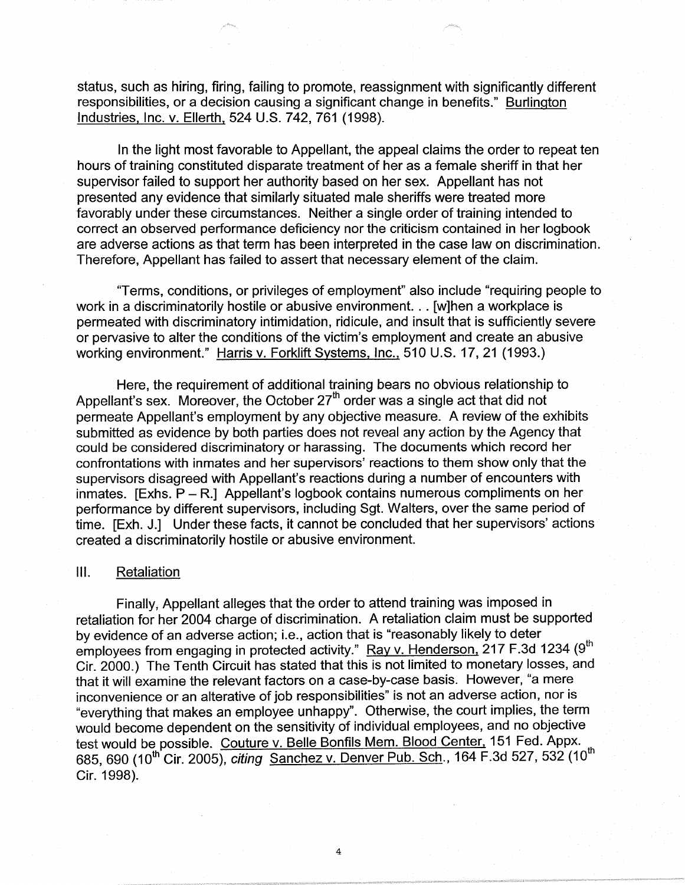status, such as hiring, firing, failing to promote, reassignment with significantly different responsibilities, or a decision causing a significant change in benefits." Burlington Industries, Inc. v. Ellerth, 524 U.S. 742, 761 (1998).

In the light most favorable to Appellant, the appeal claims the order to repeat ten hours of training constituted disparate treatment of her as a female sheriff in that her supervisor failed to support her authority based on her sex. Appellant has not presented any evidence that similarly situated male sheriffs were treated more favorably under these circumstances. Neither a single order of training intended to correct an observed performance deficiency nor the criticism contained in her logbook are adverse actions as that term has been interpreted in the case law on discrimination. Therefore, Appellant has failed to assert that necessary element of the claim.

"Terms, conditions, or privileges of employment" also include "requiring people to work in a discriminatorily hostile or abusive environment. .. [w]hen a workplace is permeated with discriminatory intimidation, ridicule, and insult that is sufficiently severe or pervasive to alter the conditions of the victim's employment and create an abusive working environment." Harris v. Forklift Systems, Inc., 510 U.S. 17, 21 (1993.)

Here, the requirement of additional training bears no obvious relationship to Appellant's sex. Moreover, the October  $27<sup>th</sup>$  order was a single act that did not permeate Appellant's employment by any objective measure. A review of the exhibits submitted as evidence by both parties does not reveal any action by the Agency that could be considered discriminatory or harassing. The documents which record her confrontations with inmates and her supervisors' reactions to them show only that the supervisors disagreed with Appellant's reactions during a number of encounters with inmates.  $[Exhs. P - R.]$  Appellant's logbook contains numerous compliments on her performance by different supervisors, including Sgt. Walters, over the same period of time. [Exh. J.] Under these facts, it cannot be concluded that her supervisors' actions created a discriminatorily hostile or abusive environment.

## Ill. Retaliation

Finally, Appellant alleges that the order to attend training was imposed in retaliation for her 2004 charge of discrimination. A retaliation claim must be supported by evidence of an adverse action; i.e., action that is "reasonably likely to deter employees from engaging in protected activity." Ray v. Henderson, 217 F.3d 1234 (9<sup>th</sup> Cir. 2000.) The Tenth Circuit has stated that this is not limited to monetary losses, and that it will examine the relevant factors on a case-by-case basis. However, "a mere inconvenience or an alterative of job responsibilities" is not an adverse action, nor is "everything that makes an employee unhappy". Otherwise, the court implies, the term would become dependent on the sensitivity of individual employees, and no objective test would be possible. Couture v. Belle Bonfils Mem. Blood Center, 151 Fed. Appx. 685, 690 (10<sup>th</sup> Cir. 2005), *citing* Sanchez v. Denver Pub. Sch., 164 F.3d 527, 532 (10<sup>th</sup>) Cir. 1998).